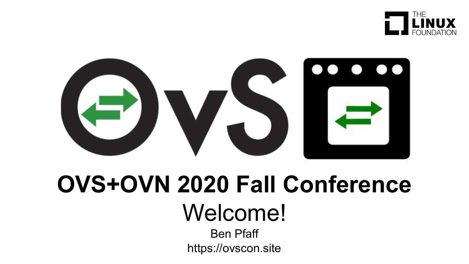



# **OVS+OVN 2020 Fall Conference** Welcome!

Ben Pfaff https://ovscon.site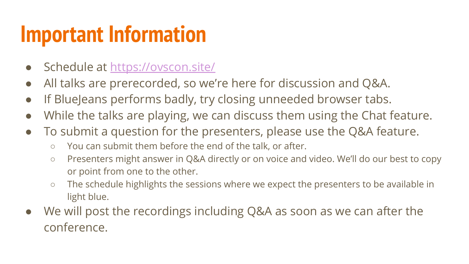#### **Important Information**

- Schedule at<https://ovscon.site/>
- All talks are prerecorded, so we're here for discussion and Q&A.
- If BlueJeans performs badly, try closing unneeded browser tabs.
- While the talks are playing, we can discuss them using the Chat feature.
- To submit a question for the presenters, please use the Q&A feature.
	- You can submit them before the end of the talk, or after.
	- Presenters might answer in Q&A directly or on voice and video. We'll do our best to copy or point from one to the other.
	- The schedule highlights the sessions where we expect the presenters to be available in light blue.
- We will post the recordings including Q&A as soon as we can after the conference.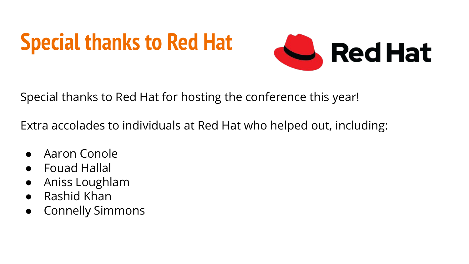# **Special thanks to Red Hat**



Special thanks to Red Hat for hosting the conference this year!

Extra accolades to individuals at Red Hat who helped out, including:

- Aaron Conole
- **Fouad Hallal**
- Aniss Loughlam
- Rashid Khan
- Connelly Simmons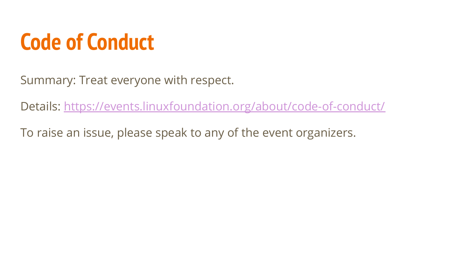#### **Code of Conduct**

Summary: Treat everyone with respect.

Details: <https://events.linuxfoundation.org/about/code-of-conduct/>

To raise an issue, please speak to any of the event organizers.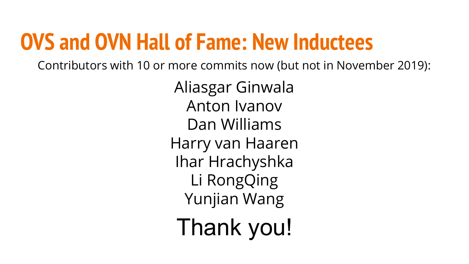#### **OVS and OVN Hall of Fame: New Inductees**

Contributors with 10 or more commits now (but not in November 2019):

Aliasgar Ginwala Anton Ivanov Dan Williams Harry van Haaren Ihar Hrachyshka Li RongQing Yunjian Wang Thank you!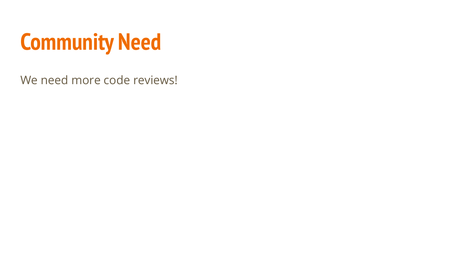

We need more code reviews!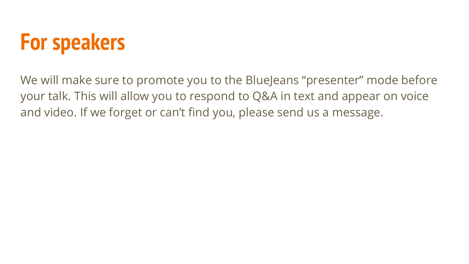#### **For speakers**

We will make sure to promote you to the BlueJeans "presenter" mode before your talk. This will allow you to respond to Q&A in text and appear on voice and video. If we forget or can't find you, please send us a message.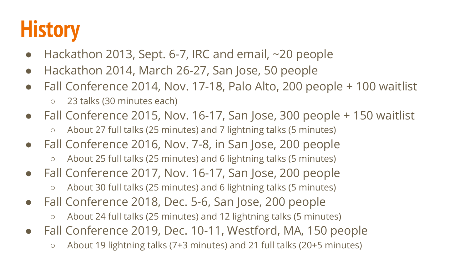### **History**

- $\bullet$  Hackathon 2013, Sept. 6-7, IRC and email,  $\sim$ 20 people
- Hackathon 2014, March 26-27, San Jose, 50 people
- Fall Conference 2014, Nov. 17-18, Palo Alto, 200 people + 100 waitlist
	- 23 talks (30 minutes each)
- Fall Conference 2015, Nov. 16-17, San Jose, 300 people + 150 waitlist
	- About 27 full talks (25 minutes) and 7 lightning talks (5 minutes)
- Fall Conference 2016, Nov. 7-8, in San Jose, 200 people
	- About 25 full talks (25 minutes) and 6 lightning talks (5 minutes)
- Fall Conference 2017, Nov. 16-17, San Jose, 200 people
	- About 30 full talks (25 minutes) and 6 lightning talks (5 minutes)
- Fall Conference 2018, Dec. 5-6, San Jose, 200 people
	- About 24 full talks (25 minutes) and 12 lightning talks (5 minutes)
- Fall Conference 2019, Dec. 10-11, Westford, MA, 150 people
	- About 19 lightning talks (7+3 minutes) and 21 full talks (20+5 minutes)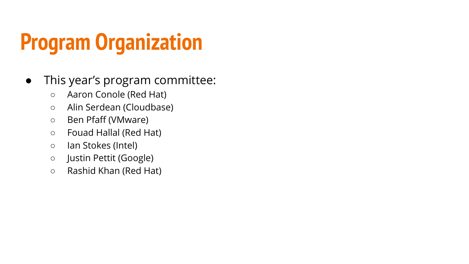## **Program Organization**

- This year's program committee:
	- Aaron Conole (Red Hat)
	- Alin Serdean (Cloudbase)
	- Ben Pfaff (VMware)
	- Fouad Hallal (Red Hat)
	- Ian Stokes (Intel)
	- Justin Pettit (Google)
	- Rashid Khan (Red Hat)